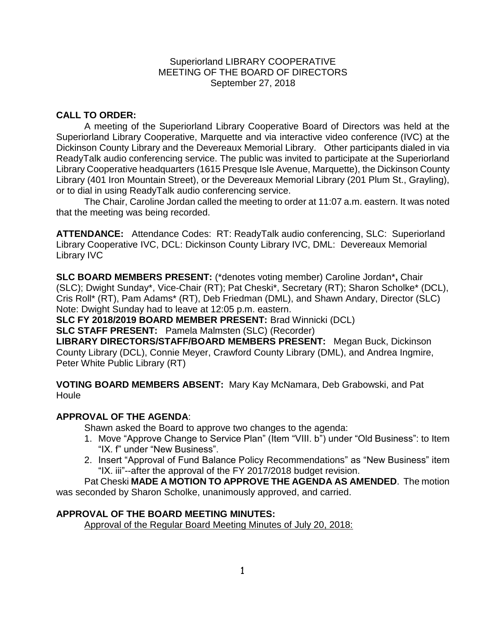### Superiorland LIBRARY COOPERATIVE MEETING OF THE BOARD OF DIRECTORS September 27, 2018

# **CALL TO ORDER:**

A meeting of the Superiorland Library Cooperative Board of Directors was held at the Superiorland Library Cooperative, Marquette and via interactive video conference (IVC) at the Dickinson County Library and the Devereaux Memorial Library. Other participants dialed in via ReadyTalk audio conferencing service. The public was invited to participate at the Superiorland Library Cooperative headquarters (1615 Presque Isle Avenue, Marquette), the Dickinson County Library (401 Iron Mountain Street), or the Devereaux Memorial Library (201 Plum St., Grayling), or to dial in using ReadyTalk audio conferencing service.

The Chair, Caroline Jordan called the meeting to order at 11:07 a.m. eastern. It was noted that the meeting was being recorded.

**ATTENDANCE:** Attendance Codes: RT: ReadyTalk audio conferencing, SLC: Superiorland Library Cooperative IVC, DCL: Dickinson County Library IVC, DML: Devereaux Memorial Library IVC

**SLC BOARD MEMBERS PRESENT:** (\*denotes voting member) Caroline Jordan\***,** Chair (SLC); Dwight Sunday\*, Vice-Chair (RT); Pat Cheski\*, Secretary (RT); Sharon Scholke\* (DCL), Cris Roll\* (RT), Pam Adams\* (RT), Deb Friedman (DML), and Shawn Andary, Director (SLC) Note: Dwight Sunday had to leave at 12:05 p.m. eastern.

**SLC FY 2018/2019 BOARD MEMBER PRESENT:** Brad Winnicki (DCL)

**SLC STAFF PRESENT:** Pamela Malmsten (SLC) (Recorder)

**LIBRARY DIRECTORS/STAFF/BOARD MEMBERS PRESENT:** Megan Buck, Dickinson County Library (DCL), Connie Meyer, Crawford County Library (DML), and Andrea Ingmire, Peter White Public Library (RT)

**VOTING BOARD MEMBERS ABSENT:** Mary Kay McNamara, Deb Grabowski, and Pat Houle

## **APPROVAL OF THE AGENDA**:

Shawn asked the Board to approve two changes to the agenda:

- 1. Move "Approve Change to Service Plan" (Item "VIII. b") under "Old Business": to Item "IX. f" under "New Business".
- 2. Insert "Approval of Fund Balance Policy Recommendations" as "New Business" item "IX. iii"--after the approval of the FY 2017/2018 budget revision.

Pat Cheski **MADE A MOTION TO APPROVE THE AGENDA AS AMENDED**. The motion was seconded by Sharon Scholke, unanimously approved, and carried.

## **APPROVAL OF THE BOARD MEETING MINUTES:**

Approval of the Regular Board Meeting Minutes of July 20, 2018: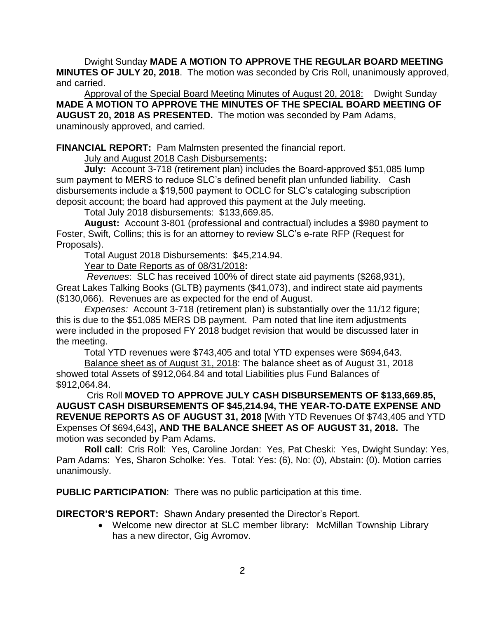Dwight Sunday **MADE A MOTION TO APPROVE THE REGULAR BOARD MEETING MINUTES OF JULY 20, 2018**. The motion was seconded by Cris Roll, unanimously approved, and carried.

Approval of the Special Board Meeting Minutes of August 20, 2018: Dwight Sunday **MADE A MOTION TO APPROVE THE MINUTES OF THE SPECIAL BOARD MEETING OF AUGUST 20, 2018 AS PRESENTED.** The motion was seconded by Pam Adams, unaminously approved, and carried.

**FINANCIAL REPORT:** Pam Malmsten presented the financial report.

July and August 2018 Cash Disbursements**:**

**July:** Account 3-718 (retirement plan) includes the Board-approved \$51,085 lump sum payment to MERS to reduce SLC's defined benefit plan unfunded liability. Cash disbursements include a \$19,500 payment to OCLC for SLC's cataloging subscription deposit account; the board had approved this payment at the July meeting.

Total July 2018 disbursements: \$133,669.85.

**August:** Account 3-801 (professional and contractual) includes a \$980 payment to Foster, Swift, Collins; this is for an attorney to review SLC's e-rate RFP (Request for Proposals).

Total August 2018 Disbursements: \$45,214.94. Year to Date Reports as of 08/31/2018**:** 

*Revenues*: SLC has received 100% of direct state aid payments (\$268,931), Great Lakes Talking Books (GLTB) payments (\$41,073), and indirect state aid payments (\$130,066). Revenues are as expected for the end of August.

*Expenses:*Account 3-718 (retirement plan) is substantially over the 11/12 figure; this is due to the \$51,085 MERS DB payment. Pam noted that line item adjustments were included in the proposed FY 2018 budget revision that would be discussed later in the meeting.

Total YTD revenues were \$743,405 and total YTD expenses were \$694,643.

Balance sheet as of August 31, 2018: The balance sheet as of August 31, 2018 showed total Assets of \$912,064.84 and total Liabilities plus Fund Balances of \$912,064.84.

Cris Roll **MOVED TO APPROVE JULY CASH DISBURSEMENTS OF \$133,669.85, AUGUST CASH DISBURSEMENTS OF \$45,214.94, THE YEAR-TO-DATE EXPENSE AND REVENUE REPORTS AS OF AUGUST 31, 2018** [With YTD Revenues Of \$743,405 and YTD Expenses Of \$694,643]**, AND THE BALANCE SHEET AS OF AUGUST 31, 2018.** The motion was seconded by Pam Adams.

**Roll call**: Cris Roll: Yes, Caroline Jordan: Yes, Pat Cheski: Yes, Dwight Sunday: Yes, Pam Adams: Yes, Sharon Scholke: Yes. Total: Yes: (6), No: (0), Abstain: (0). Motion carries unanimously.

**PUBLIC PARTICIPATION**: There was no public participation at this time.

**DIRECTOR'S REPORT:** Shawn Andary presented the Director's Report.

 Welcome new director at SLC member library**:** McMillan Township Library has a new director, Gig Avromov.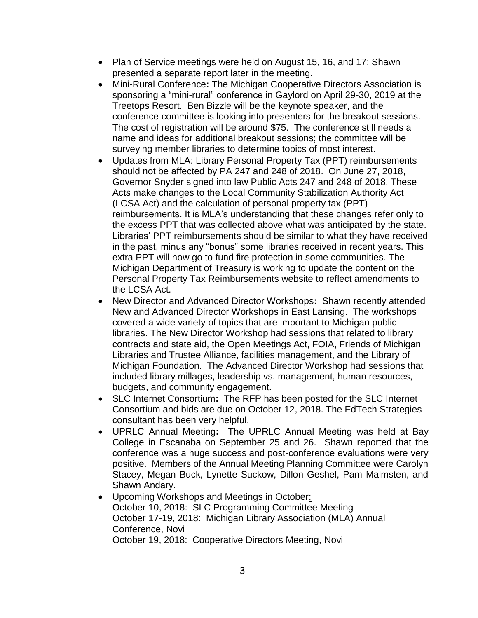- Plan of Service meetings were held on August 15, 16, and 17; Shawn presented a separate report later in the meeting.
- Mini-Rural Conference**:** The Michigan Cooperative Directors Association is sponsoring a "mini-rural" conference in Gaylord on April 29-30, 2019 at the Treetops Resort. Ben Bizzle will be the keynote speaker, and the conference committee is looking into presenters for the breakout sessions. The cost of registration will be around \$75. The conference still needs a name and ideas for additional breakout sessions; the committee will be surveying member libraries to determine topics of most interest.
- Updates from MLA: Library Personal Property Tax (PPT) reimbursements should not be affected by PA 247 and 248 of 2018. On June 27, 2018, Governor Snyder signed into law Public Acts 247 and 248 of 2018. These Acts make changes to the Local Community Stabilization Authority Act (LCSA Act) and the calculation of personal property tax (PPT) reimbursements. It is MLA's understanding that these changes refer only to the excess PPT that was collected above what was anticipated by the state. Libraries' PPT reimbursements should be similar to what they have received in the past, minus any "bonus" some libraries received in recent years. This extra PPT will now go to fund fire protection in some communities. The Michigan Department of Treasury is working to update the content on the Personal Property Tax Reimbursements website to reflect amendments to the LCSA Act.
- New Director and Advanced Director Workshops**:** Shawn recently attended New and Advanced Director Workshops in East Lansing. The workshops covered a wide variety of topics that are important to Michigan public libraries. The New Director Workshop had sessions that related to library contracts and state aid, the Open Meetings Act, FOIA, Friends of Michigan Libraries and Trustee Alliance, facilities management, and the Library of Michigan Foundation. The Advanced Director Workshop had sessions that included library millages, leadership vs. management, human resources, budgets, and community engagement.
- SLC Internet Consortium**:** The RFP has been posted for the SLC Internet Consortium and bids are due on October 12, 2018. The EdTech Strategies consultant has been very helpful.
- UPRLC Annual Meeting**:** The UPRLC Annual Meeting was held at Bay College in Escanaba on September 25 and 26. Shawn reported that the conference was a huge success and post-conference evaluations were very positive. Members of the Annual Meeting Planning Committee were Carolyn Stacey, Megan Buck, Lynette Suckow, Dillon Geshel, Pam Malmsten, and Shawn Andary.
- Upcoming Workshops and Meetings in October: October 10, 2018: SLC Programming Committee Meeting October 17-19, 2018: Michigan Library Association (MLA) Annual Conference, Novi October 19, 2018: Cooperative Directors Meeting, Novi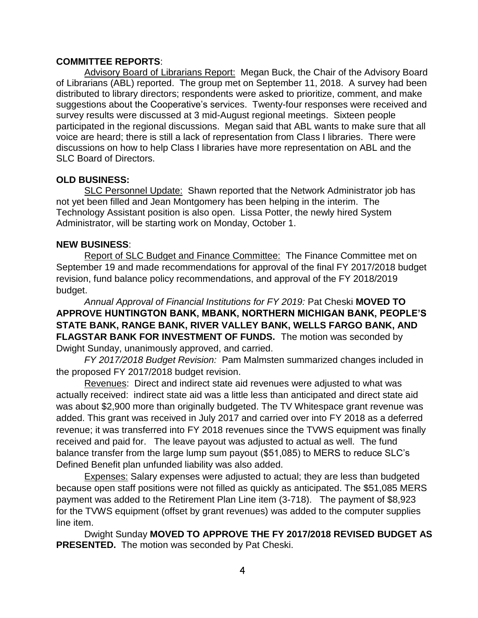#### **COMMITTEE REPORTS**:

Advisory Board of Librarians Report: Megan Buck, the Chair of the Advisory Board of Librarians (ABL) reported. The group met on September 11, 2018. A survey had been distributed to library directors; respondents were asked to prioritize, comment, and make suggestions about the Cooperative's services. Twenty-four responses were received and survey results were discussed at 3 mid-August regional meetings. Sixteen people participated in the regional discussions. Megan said that ABL wants to make sure that all voice are heard; there is still a lack of representation from Class I libraries. There were discussions on how to help Class I libraries have more representation on ABL and the SLC Board of Directors.

#### **OLD BUSINESS:**

SLC Personnel Update: Shawn reported that the Network Administrator job has not yet been filled and Jean Montgomery has been helping in the interim. The Technology Assistant position is also open. Lissa Potter, the newly hired System Administrator, will be starting work on Monday, October 1.

#### **NEW BUSINESS**:

Report of SLC Budget and Finance Committee: The Finance Committee met on September 19 and made recommendations for approval of the final FY 2017/2018 budget revision, fund balance policy recommendations, and approval of the FY 2018/2019 budget.

*Annual Approval of Financial Institutions for FY 2019:* Pat Cheski **MOVED TO APPROVE HUNTINGTON BANK, MBANK, NORTHERN MICHIGAN BANK, PEOPLE'S STATE BANK, RANGE BANK, RIVER VALLEY BANK, WELLS FARGO BANK, AND FLAGSTAR BANK FOR INVESTMENT OF FUNDS.** The motion was seconded by Dwight Sunday, unanimously approved, and carried.

*FY 2017/2018 Budget Revision:* Pam Malmsten summarized changes included in the proposed FY 2017/2018 budget revision.

Revenues: Direct and indirect state aid revenues were adjusted to what was actually received: indirect state aid was a little less than anticipated and direct state aid was about \$2,900 more than originally budgeted. The TV Whitespace grant revenue was added. This grant was received in July 2017 and carried over into FY 2018 as a deferred revenue; it was transferred into FY 2018 revenues since the TVWS equipment was finally received and paid for. The leave payout was adjusted to actual as well. The fund balance transfer from the large lump sum payout (\$51,085) to MERS to reduce SLC's Defined Benefit plan unfunded liability was also added.

Expenses: Salary expenses were adjusted to actual; they are less than budgeted because open staff positions were not filled as quickly as anticipated. The \$51,085 MERS payment was added to the Retirement Plan Line item (3-718). The payment of \$8,923 for the TVWS equipment (offset by grant revenues) was added to the computer supplies line item.

Dwight Sunday **MOVED TO APPROVE THE FY 2017/2018 REVISED BUDGET AS PRESENTED.** The motion was seconded by Pat Cheski.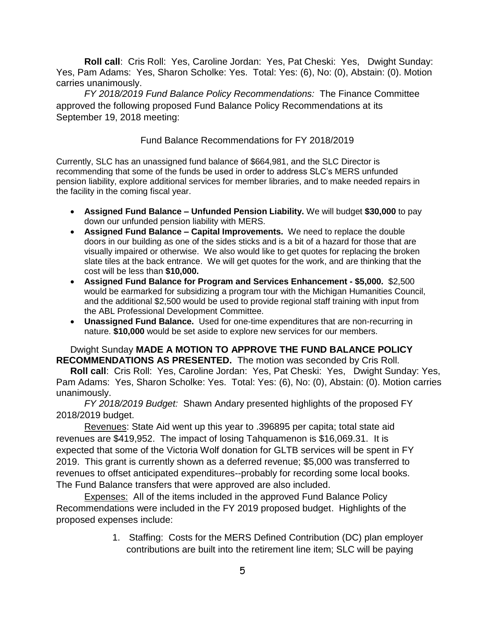**Roll call**: Cris Roll: Yes, Caroline Jordan: Yes, Pat Cheski: Yes, Dwight Sunday: Yes, Pam Adams: Yes, Sharon Scholke: Yes. Total: Yes: (6), No: (0), Abstain: (0). Motion carries unanimously.

*FY 2018/2019 Fund Balance Policy Recommendations:* The Finance Committee approved the following proposed Fund Balance Policy Recommendations at its September 19, 2018 meeting:

### Fund Balance Recommendations for FY 2018/2019

Currently, SLC has an unassigned fund balance of \$664,981, and the SLC Director is recommending that some of the funds be used in order to address SLC's MERS unfunded pension liability, explore additional services for member libraries, and to make needed repairs in the facility in the coming fiscal year.

- **Assigned Fund Balance – Unfunded Pension Liability.** We will budget **\$30,000** to pay down our unfunded pension liability with MERS.
- **Assigned Fund Balance – Capital Improvements.** We need to replace the double doors in our building as one of the sides sticks and is a bit of a hazard for those that are visually impaired or otherwise. We also would like to get quotes for replacing the broken slate tiles at the back entrance. We will get quotes for the work, and are thinking that the cost will be less than **\$10,000.**
- **Assigned Fund Balance for Program and Services Enhancement - \$5,000.** \$2,500 would be earmarked for subsidizing a program tour with the Michigan Humanities Council, and the additional \$2,500 would be used to provide regional staff training with input from the ABL Professional Development Committee.
- **Unassigned Fund Balance.** Used for one-time expenditures that are non-recurring in nature. **\$10,000** would be set aside to explore new services for our members.

Dwight Sunday **MADE A MOTION TO APPROVE THE FUND BALANCE POLICY RECOMMENDATIONS AS PRESENTED.** The motion was seconded by Cris Roll.

**Roll call**: Cris Roll: Yes, Caroline Jordan: Yes, Pat Cheski: Yes, Dwight Sunday: Yes, Pam Adams: Yes, Sharon Scholke: Yes. Total: Yes: (6), No: (0), Abstain: (0). Motion carries unanimously.

*FY 2018/2019 Budget:* Shawn Andary presented highlights of the proposed FY 2018/2019 budget.

Revenues: State Aid went up this year to .396895 per capita; total state aid revenues are \$419,952. The impact of losing Tahquamenon is \$16,069.31. It is expected that some of the Victoria Wolf donation for GLTB services will be spent in FY 2019. This grant is currently shown as a deferred revenue; \$5,000 was transferred to revenues to offset anticipated expenditures--probably for recording some local books. The Fund Balance transfers that were approved are also included.

**Expenses:** All of the items included in the approved Fund Balance Policy Recommendations were included in the FY 2019 proposed budget. Highlights of the proposed expenses include:

> 1. Staffing: Costs for the MERS Defined Contribution (DC) plan employer contributions are built into the retirement line item; SLC will be paying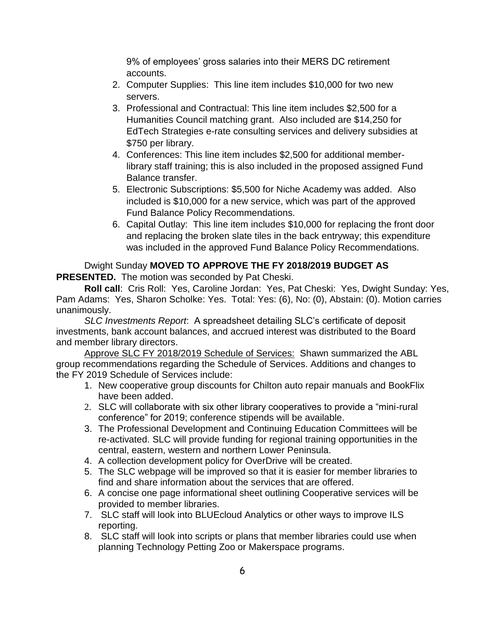9% of employees' gross salaries into their MERS DC retirement accounts.

- 2. Computer Supplies: This line item includes \$10,000 for two new servers.
- 3. Professional and Contractual: This line item includes \$2,500 for a Humanities Council matching grant. Also included are \$14,250 for EdTech Strategies e-rate consulting services and delivery subsidies at \$750 per library.
- 4. Conferences: This line item includes \$2,500 for additional memberlibrary staff training; this is also included in the proposed assigned Fund Balance transfer.
- 5. Electronic Subscriptions: \$5,500 for Niche Academy was added. Also included is \$10,000 for a new service, which was part of the approved Fund Balance Policy Recommendations.
- 6. Capital Outlay: This line item includes \$10,000 for replacing the front door and replacing the broken slate tiles in the back entryway; this expenditure was included in the approved Fund Balance Policy Recommendations.

Dwight Sunday **MOVED TO APPROVE THE FY 2018/2019 BUDGET AS PRESENTED.** The motion was seconded by Pat Cheski.

**Roll call**: Cris Roll: Yes, Caroline Jordan: Yes, Pat Cheski: Yes, Dwight Sunday: Yes, Pam Adams: Yes, Sharon Scholke: Yes. Total: Yes: (6), No: (0), Abstain: (0). Motion carries unanimously.

*SLC Investments Report*: A spreadsheet detailing SLC's certificate of deposit investments, bank account balances, and accrued interest was distributed to the Board and member library directors.

Approve SLC FY 2018/2019 Schedule of Services: Shawn summarized the ABL group recommendations regarding the Schedule of Services. Additions and changes to the FY 2019 Schedule of Services include:

- 1. New cooperative group discounts for Chilton auto repair manuals and BookFlix have been added.
- 2. SLC will collaborate with six other library cooperatives to provide a "mini-rural conference" for 2019; conference stipends will be available.
- 3. The Professional Development and Continuing Education Committees will be re-activated. SLC will provide funding for regional training opportunities in the central, eastern, western and northern Lower Peninsula.
- 4. A collection development policy for OverDrive will be created.
- 5. The SLC webpage will be improved so that it is easier for member libraries to find and share information about the services that are offered.
- 6. A concise one page informational sheet outlining Cooperative services will be provided to member libraries.
- 7. SLC staff will look into BLUEcloud Analytics or other ways to improve ILS reporting.
- 8. SLC staff will look into scripts or plans that member libraries could use when planning Technology Petting Zoo or Makerspace programs.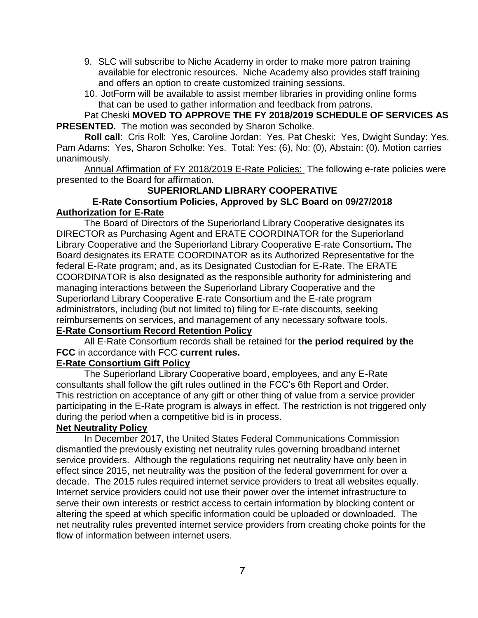- 9. SLC will subscribe to Niche Academy in order to make more patron training available for electronic resources. Niche Academy also provides staff training and offers an option to create customized training sessions.
- 10. JotForm will be available to assist member libraries in providing online forms that can be used to gather information and feedback from patrons.

Pat Cheski **MOVED TO APPROVE THE FY 2018/2019 SCHEDULE OF SERVICES AS PRESENTED.** The motion was seconded by Sharon Scholke.

**Roll call**: Cris Roll: Yes, Caroline Jordan: Yes, Pat Cheski: Yes, Dwight Sunday: Yes, Pam Adams: Yes, Sharon Scholke: Yes. Total: Yes: (6), No: (0), Abstain: (0). Motion carries unanimously.

Annual Affirmation of FY 2018/2019 E-Rate Policies: The following e-rate policies were presented to the Board for affirmation.

### **SUPERIORLAND LIBRARY COOPERATIVE**

### **E-Rate Consortium Policies, Approved by SLC Board on 09/27/2018 Authorization for E-Rate**

 The Board of Directors of the Superiorland Library Cooperative designates its DIRECTOR as Purchasing Agent and ERATE COORDINATOR for the Superiorland Library Cooperative and the Superiorland Library Cooperative E-rate Consortium**.** The Board designates its ERATE COORDINATOR as its Authorized Representative for the federal E-Rate program; and, as its Designated Custodian for E-Rate. The ERATE COORDINATOR is also designated as the responsible authority for administering and managing interactions between the Superiorland Library Cooperative and the Superiorland Library Cooperative E-rate Consortium and the E-rate program administrators, including (but not limited to) filing for E-rate discounts, seeking reimbursements on services, and management of any necessary software tools.

### **E-Rate Consortium Record Retention Policy**

 All E-Rate Consortium records shall be retained for **the period required by the FCC** in accordance with FCC **current rules.** 

## **E-Rate Consortium Gift Policy**

 The Superiorland Library Cooperative board, employees, and any E-Rate consultants shall follow the gift rules outlined in the FCC's 6th Report and Order. This restriction on acceptance of any gift or other thing of value from a service provider participating in the E-Rate program is always in effect. The restriction is not triggered only during the period when a competitive bid is in process.

### **Net Neutrality Policy**

 In December 2017, the United States Federal Communications Commission dismantled the previously existing net neutrality rules governing broadband internet service providers. Although the regulations requiring net neutrality have only been in effect since 2015, net neutrality was the position of the federal government for over a decade. The 2015 rules required internet service providers to treat all websites equally. Internet service providers could not use their power over the internet infrastructure to serve their own interests or restrict access to certain information by blocking content or altering the speed at which specific information could be uploaded or downloaded. The net neutrality rules prevented internet service providers from creating choke points for the flow of information between internet users.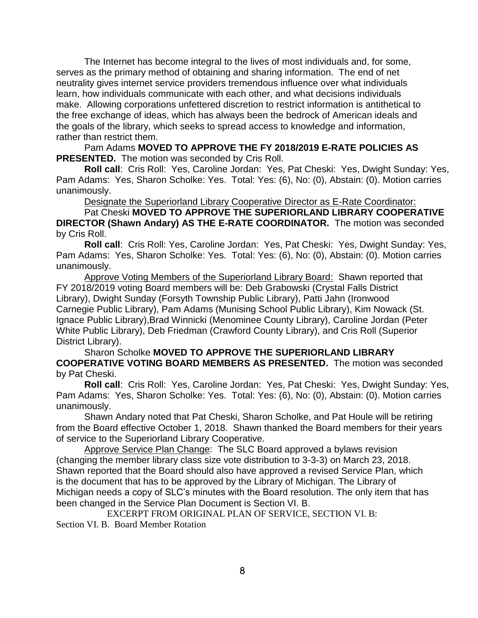The Internet has become integral to the lives of most individuals and, for some, serves as the primary method of obtaining and sharing information. The end of net neutrality gives internet service providers tremendous influence over what individuals learn, how individuals communicate with each other, and what decisions individuals make. Allowing corporations unfettered discretion to restrict information is antithetical to the free exchange of ideas, which has always been the bedrock of American ideals and the goals of the library, which seeks to spread access to knowledge and information, rather than restrict them.

Pam Adams **MOVED TO APPROVE THE FY 2018/2019 E-RATE POLICIES AS PRESENTED.** The motion was seconded by Cris Roll.

**Roll call**: Cris Roll: Yes, Caroline Jordan: Yes, Pat Cheski: Yes, Dwight Sunday: Yes, Pam Adams: Yes, Sharon Scholke: Yes. Total: Yes: (6), No: (0), Abstain: (0). Motion carries unanimously.

Designate the Superiorland Library Cooperative Director as E-Rate Coordinator:

Pat Cheski **MOVED TO APPROVE THE SUPERIORLAND LIBRARY COOPERATIVE DIRECTOR (Shawn Andary) AS THE E-RATE COORDINATOR.** The motion was seconded by Cris Roll.

**Roll call**: Cris Roll: Yes, Caroline Jordan: Yes, Pat Cheski: Yes, Dwight Sunday: Yes, Pam Adams: Yes, Sharon Scholke: Yes. Total: Yes: (6), No: (0), Abstain: (0). Motion carries unanimously.

Approve Voting Members of the Superiorland Library Board: Shawn reported that FY 2018/2019 voting Board members will be: Deb Grabowski (Crystal Falls District Library), Dwight Sunday (Forsyth Township Public Library), Patti Jahn (Ironwood Carnegie Public Library), Pam Adams (Munising School Public Library), Kim Nowack (St. Ignace Public Library),Brad Winnicki (Menominee County Library), Caroline Jordan (Peter White Public Library), Deb Friedman (Crawford County Library), and Cris Roll (Superior District Library).

Sharon Scholke **MOVED TO APPROVE THE SUPERIORLAND LIBRARY COOPERATIVE VOTING BOARD MEMBERS AS PRESENTED.** The motion was seconded by Pat Cheski.

**Roll call**: Cris Roll: Yes, Caroline Jordan: Yes, Pat Cheski: Yes, Dwight Sunday: Yes, Pam Adams: Yes, Sharon Scholke: Yes. Total: Yes: (6), No: (0), Abstain: (0). Motion carries unanimously.

Shawn Andary noted that Pat Cheski, Sharon Scholke, and Pat Houle will be retiring from the Board effective October 1, 2018. Shawn thanked the Board members for their years of service to the Superiorland Library Cooperative.

Approve Service Plan Change: The SLC Board approved a bylaws revision (changing the member library class size vote distribution to 3-3-3) on March 23, 2018. Shawn reported that the Board should also have approved a revised Service Plan, which is the document that has to be approved by the Library of Michigan. The Library of Michigan needs a copy of SLC's minutes with the Board resolution. The only item that has been changed in the Service Plan Document is Section VI. B.

EXCERPT FROM ORIGINAL PLAN OF SERVICE, SECTION VI. B:

Section VI. B. Board Member Rotation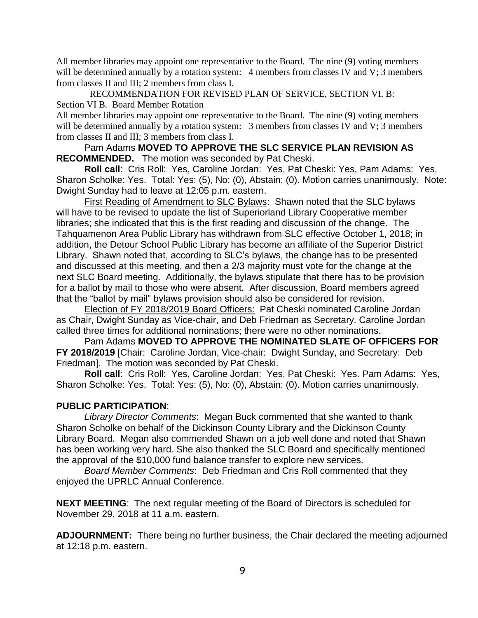All member libraries may appoint one representative to the Board. The nine (9) voting members will be determined annually by a rotation system: 4 members from classes IV and V; 3 members from classes II and III; 2 members from class I.

RECOMMENDATION FOR REVISED PLAN OF SERVICE, SECTION VI. B: Section VI B. Board Member Rotation

All member libraries may appoint one representative to the Board. The nine (9) voting members will be determined annually by a rotation system: 3 members from classes IV and V; 3 members from classes II and III; 3 members from class I.

Pam Adams **MOVED TO APPROVE THE SLC SERVICE PLAN REVISION AS RECOMMENDED.** The motion was seconded by Pat Cheski.

**Roll call**: Cris Roll: Yes, Caroline Jordan: Yes, Pat Cheski: Yes, Pam Adams: Yes, Sharon Scholke: Yes. Total: Yes: (5), No: (0), Abstain: (0). Motion carries unanimously. Note: Dwight Sunday had to leave at 12:05 p.m. eastern.

First Reading of Amendment to SLC Bylaws: Shawn noted that the SLC bylaws will have to be revised to update the list of Superiorland Library Cooperative member libraries; she indicated that this is the first reading and discussion of the change. The Tahquamenon Area Public Library has withdrawn from SLC effective October 1, 2018; in addition, the Detour School Public Library has become an affiliate of the Superior District Library. Shawn noted that, according to SLC's bylaws, the change has to be presented and discussed at this meeting, and then a 2/3 majority must vote for the change at the next SLC Board meeting. Additionally, the bylaws stipulate that there has to be provision for a ballot by mail to those who were absent. After discussion, Board members agreed that the "ballot by mail" bylaws provision should also be considered for revision.

Election of FY 2018/2019 Board Officers: Pat Cheski nominated Caroline Jordan as Chair, Dwight Sunday as Vice-chair, and Deb Friedman as Secretary. Caroline Jordan called three times for additional nominations; there were no other nominations.

Pam Adams **MOVED TO APPROVE THE NOMINATED SLATE OF OFFICERS FOR FY 2018/2019** [Chair: Caroline Jordan, Vice-chair: Dwight Sunday, and Secretary: Deb Friedman]. The motion was seconded by Pat Cheski.

**Roll call**: Cris Roll: Yes, Caroline Jordan: Yes, Pat Cheski: Yes. Pam Adams: Yes, Sharon Scholke: Yes. Total: Yes: (5), No: (0), Abstain: (0). Motion carries unanimously.

### **PUBLIC PARTICIPATION**:

*Library Director Comments*: Megan Buck commented that she wanted to thank Sharon Scholke on behalf of the Dickinson County Library and the Dickinson County Library Board. Megan also commended Shawn on a job well done and noted that Shawn has been working very hard. She also thanked the SLC Board and specifically mentioned the approval of the \$10,000 fund balance transfer to explore new services.

*Board Member Comments*: Deb Friedman and Cris Roll commented that they enjoyed the UPRLC Annual Conference.

**NEXT MEETING**: The next regular meeting of the Board of Directors is scheduled for November 29, 2018 at 11 a.m. eastern.

**ADJOURNMENT:** There being no further business, the Chair declared the meeting adjourned at 12:18 p.m. eastern.